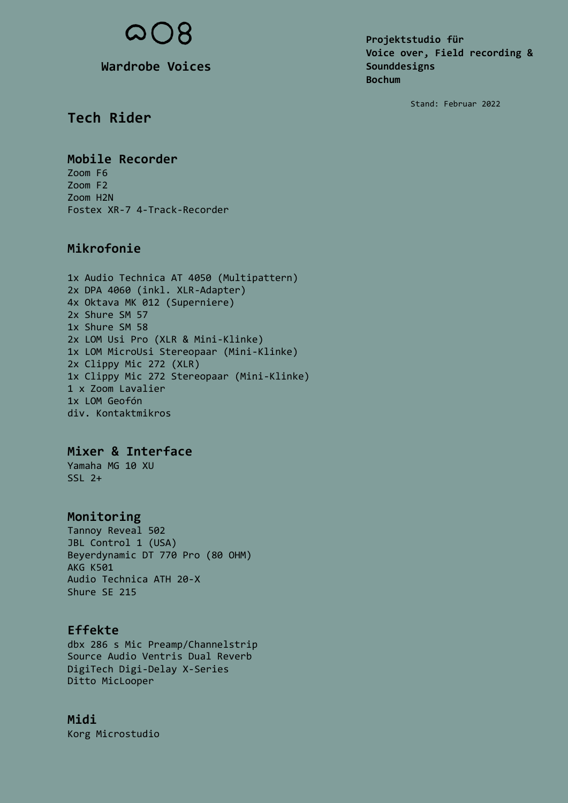**Wardrobe Voices**

**Projektstudio für Voice over, Field recording & Sounddesigns Bochum**

Stand: Februar 2022

# **Tech Rider**

**Mobile Recorder** Zoom F6 Zoom F2

Zoom H2N Fostex XR-7 4-Track-Recorder

# **Mikrofonie**

1x Audio Technica AT 4050 (Multipattern) 2x DPA 4060 (inkl. XLR-Adapter) 4x Oktava MK 012 (Superniere) 2x Shure SM 57 1x Shure SM 58 2x LOM Usi Pro (XLR & Mini-Klinke) 1x LOM MicroUsi Stereopaar (Mini-Klinke) 2x Clippy Mic 272 (XLR) 1x Clippy Mic 272 Stereopaar (Mini-Klinke) 1 x Zoom Lavalier 1x LOM Geofón div. Kontaktmikros

### **Mixer & Interface**

Yamaha MG 10 XU  $SSL<sub>2+</sub>$ 

### **Monitoring**

Tannoy Reveal 502 JBL Control 1 (USA) Beyerdynamic DT 770 Pro (80 OHM) AKG K501 Audio Technica ATH 20-X Shure SE 215

# **Effekte**

dbx 286 s Mic Preamp/Channelstrip Source Audio Ventris Dual Reverb DigiTech Digi-Delay X-Series Ditto MicLooper

### **Midi**

Korg Microstudio